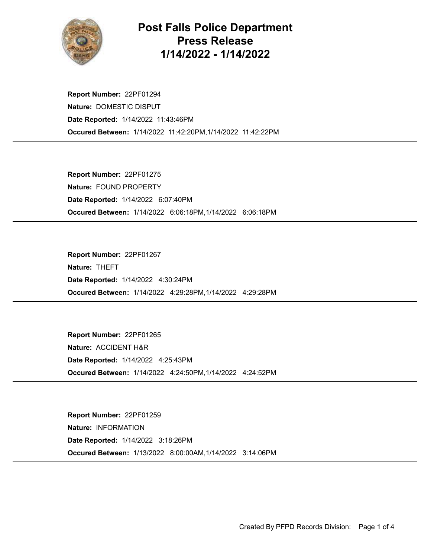

## Post Falls Police Department Press Release 1/14/2022 - 1/14/2022

Occured Between: 1/14/2022 11:42:20PM,1/14/2022 11:42:22PM Report Number: 22PF01294 Nature: DOMESTIC DISPUT Date Reported: 1/14/2022 11:43:46PM

Occured Between: 1/14/2022 6:06:18PM,1/14/2022 6:06:18PM Report Number: 22PF01275 Nature: FOUND PROPERTY Date Reported: 1/14/2022 6:07:40PM

Occured Between: 1/14/2022 4:29:28PM,1/14/2022 4:29:28PM Report Number: 22PF01267 Nature: THEFT Date Reported: 1/14/2022 4:30:24PM

Occured Between: 1/14/2022 4:24:50PM,1/14/2022 4:24:52PM Report Number: 22PF01265 Nature: ACCIDENT H&R Date Reported: 1/14/2022 4:25:43PM

Occured Between: 1/13/2022 8:00:00AM,1/14/2022 3:14:06PM Report Number: 22PF01259 Nature: INFORMATION Date Reported: 1/14/2022 3:18:26PM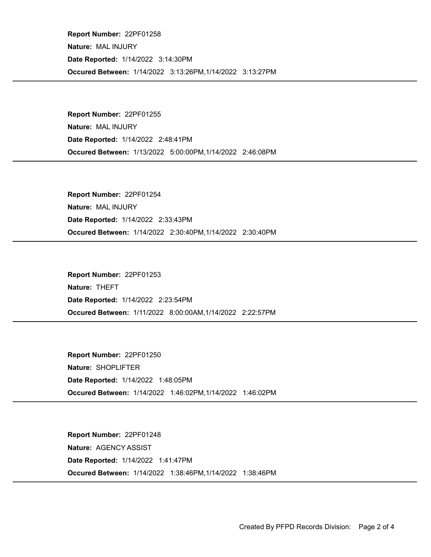Occured Between: 1/14/2022 3:13:26PM,1/14/2022 3:13:27PM Report Number: 22PF01258 Nature: MAL INJURY Date Reported: 1/14/2022 3:14:30PM

Occured Between: 1/13/2022 5:00:00PM,1/14/2022 2:46:08PM Report Number: 22PF01255 Nature: MAL INJURY Date Reported: 1/14/2022 2:48:41PM

Occured Between: 1/14/2022 2:30:40PM,1/14/2022 2:30:40PM Report Number: 22PF01254 Nature: MAL INJURY Date Reported: 1/14/2022 2:33:43PM

Occured Between: 1/11/2022 8:00:00AM,1/14/2022 2:22:57PM Report Number: 22PF01253 Nature: THEFT Date Reported: 1/14/2022 2:23:54PM

Occured Between: 1/14/2022 1:46:02PM,1/14/2022 1:46:02PM Report Number: 22PF01250 Nature: SHOPLIFTER Date Reported: 1/14/2022 1:48:05PM

Occured Between: 1/14/2022 1:38:46PM,1/14/2022 1:38:46PM Report Number: 22PF01248 Nature: AGENCY ASSIST Date Reported: 1/14/2022 1:41:47PM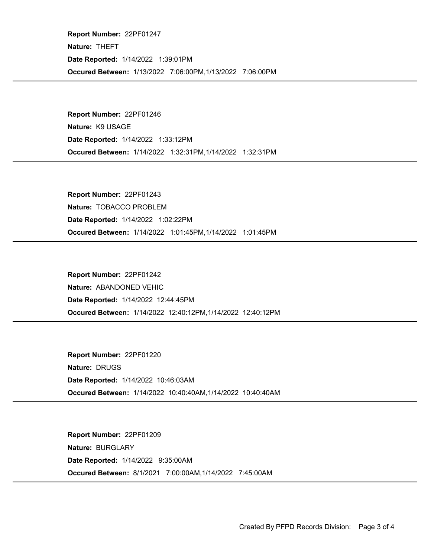Occured Between: 1/13/2022 7:06:00PM,1/13/2022 7:06:00PM Report Number: 22PF01247 Nature: THEFT Date Reported: 1/14/2022 1:39:01PM

Occured Between: 1/14/2022 1:32:31PM,1/14/2022 1:32:31PM Report Number: 22PF01246 Nature: K9 USAGE Date Reported: 1/14/2022 1:33:12PM

Occured Between: 1/14/2022 1:01:45PM,1/14/2022 1:01:45PM Report Number: 22PF01243 Nature: TOBACCO PROBLEM Date Reported: 1/14/2022 1:02:22PM

Occured Between: 1/14/2022 12:40:12PM,1/14/2022 12:40:12PM Report Number: 22PF01242 Nature: ABANDONED VEHIC Date Reported: 1/14/2022 12:44:45PM

Occured Between: 1/14/2022 10:40:40AM,1/14/2022 10:40:40AM Report Number: 22PF01220 Nature: DRUGS Date Reported: 1/14/2022 10:46:03AM

Occured Between: 8/1/2021 7:00:00AM,1/14/2022 7:45:00AM Report Number: 22PF01209 Nature: BURGLARY Date Reported: 1/14/2022 9:35:00AM